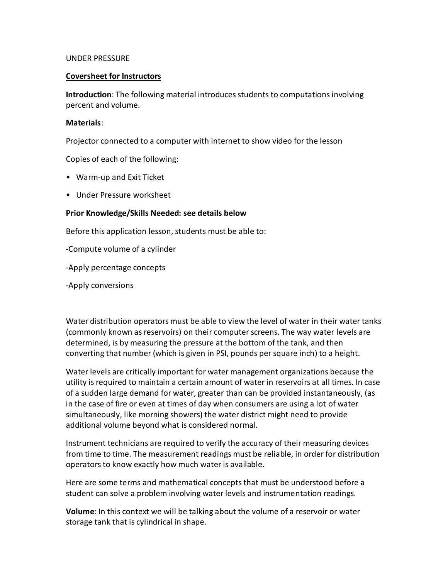## UNDER PRESSURE

## **Coversheet for Instructors**

**Introduction**: The following material introduces students to computations involving percent and volume.

## **Materials**:

Projector connected to a computer with internet to show video for the lesson

Copies of each of the following:

- Warm-up and Exit Ticket
- Under Pressure worksheet

## **Prior Knowledge/Skills Needed: see details below**

Before this application lesson, students must be able to:

-Compute volume of a cylinder

-Apply percentage concepts

-Apply conversions

Water distribution operators must be able to view the level of water in their water tanks (commonly known as reservoirs) on their computer screens. The way water levels are determined, is by measuring the pressure at the bottom of the tank, and then converting that number (which is given in PSI, pounds per square inch) to a height.

Water levels are critically important for water management organizations because the utility is required to maintain a certain amount of water in reservoirs at all times. In case of a sudden large demand for water, greater than can be provided instantaneously, (as in the case of fire or even at times of day when consumers are using a lot of water simultaneously, like morning showers) the water district might need to provide additional volume beyond what is considered normal.

Instrument technicians are required to verify the accuracy of their measuring devices from time to time. The measurement readings must be reliable, in order for distribution operators to know exactly how much water is available.

Here are some terms and mathematical concepts that must be understood before a student can solve a problem involving water levels and instrumentation readings.

**Volume**: In this context we will be talking about the volume of a reservoir or water storage tank that is cylindrical in shape.